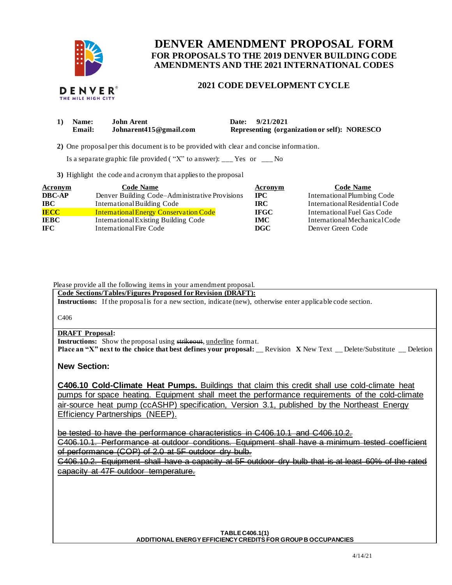

# **FOR PROPOSALS TO THE 2019 DENVER BUILDING CODE DENVER AMENDMENT PROPOSAL FORM AMENDMENTS AND THE 2021 INTERNATIONAL CODES**

# **2021 CODE DEVELOPMENT CYCLE**

| 1) Name: | John Arent             | Date: 9/21/2021                              |
|----------|------------------------|----------------------------------------------|
| Email:   | Johnarent415@gmail.com | Representing (organization or self): NORESCO |

**2)** One proposalper this document is to be provided with clear and concise information.

Is a separate graphic file provided ("X" to answer): \_\_\_ Yes or \_\_\_ No

**3)** Highlight the code and acronym that applies to the proposal

| <b>Acronym</b> | <b>Code Name</b>                               | Acronym     | <b>Code Name</b>               |
|----------------|------------------------------------------------|-------------|--------------------------------|
| <b>DBC-AP</b>  | Denver Building Code-Administrative Provisions | $\bf IPC$   | International Plumbing Code    |
| <b>IBC</b>     | International Building Code                    | IRC.        | International Residential Code |
| <b>IECC</b>    | <b>International Energy Conservation Code</b>  | <b>IFGC</b> | International Fuel Gas Code    |
| <b>IEBC</b>    | International Existing Building Code           | <b>IMC</b>  | International Mechanical Code  |
| IFC.           | International Fire Code                        | <b>DGC</b>  | Denver Green Code              |

Please provide all the following items in your amendment proposal.

 **Code Sections/Tables/Figures Proposed for Revision (DRAFT):** 

**Instructions:** If the proposalis for a new section, indicate (new), otherwise enter applicable code section.

C406

### **DRAFT Proposal:**

**Instructions:** Show the proposal using strikeout, underline format.  **Place an "X" next to the choice that best defines your proposal:** \_\_ Revision **X** New Text \_\_ Delete/Substitute \_\_ Deletion

### **New Section:**

 **C406.10 Cold-Climate Heat Pumps.** Buildings that claim this credit shall use cold-climate heat pumps for space heating. Equipment shall meet the performance requirements of the cold-climate air-source heat pump (ccASHP) specification, Version 3.1, published by the Northeast Energy Efficiency Partnerships (NEEP).

be tested to have the performance characteristics in C406.10.1 and C406.10.2.

 C406.10.1. Performance at outdoor conditions. Equipment shall have a minimum tested coefficient of performance (COP) of 2.0 at 5F outdoor dry bulb.

 C406.10.2. Equipment shall have a capacity at 5F outdoor dry bulb that is at least 60% of the rated capacity at 47F outdoor temperature.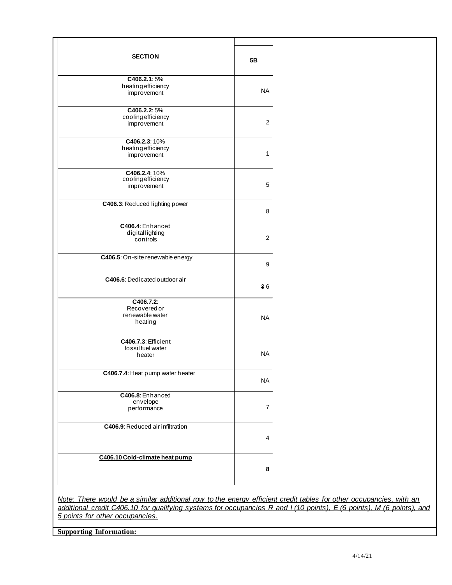| <b>SECTION</b>                   | 5Β        |
|----------------------------------|-----------|
| C406.2.1:5%                      |           |
| heating efficiency               |           |
| improvement                      | NA.       |
|                                  |           |
| C406.2.2:5%                      |           |
| cooling efficiency               | 2         |
| improvement                      |           |
| C406.2.3: 10%                    |           |
| heating efficiency               |           |
| improvement                      | 1         |
| C406.2.4: 10%                    |           |
| cooling efficiency               |           |
| improvement                      | 5         |
|                                  |           |
| C406.3: Reduced lighting power   |           |
|                                  | 8         |
| C406.4: Enhanced                 |           |
| digitallighting                  | 2         |
| controls                         |           |
| C406.5: On-site renewable energy |           |
|                                  | 9         |
| C406.6: Dedicated outdoor air    |           |
|                                  | 36        |
| C406.7.2:                        |           |
| Recovered or                     |           |
| renewable water                  | NA.       |
| heating                          |           |
| C406.7.3: Efficient              |           |
| fossilfuel water                 |           |
| heater                           | NA.       |
|                                  |           |
| C406.7.4: Heat pump water heater | <b>NA</b> |
|                                  |           |
| C406.8: Enhanced                 |           |
| envelope                         | 7         |
| performance                      |           |
| C406.9: Reduced air infiltration |           |
|                                  | 4         |
|                                  |           |
| C406.10 Cold-climate heat pump   |           |
|                                  | <u>8</u>  |
|                                  |           |
|                                  |           |

 *Note: There would be a similar additional row to the energy efficient credit tables for other occupancies, with an additional credit C406.10 for qualifying systems for occupancies R and I (10 points), E (6 points), M (6 points), and 5 points for other occupancies.* 

 **Supporting Information:**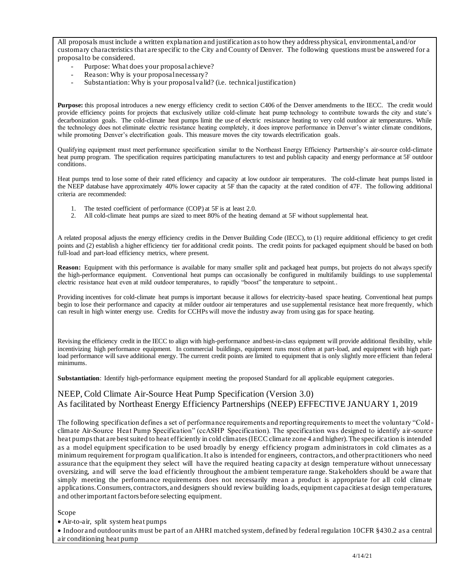All proposals must include a written explanation and justification as to how they address physical, environmental, and/or customary characteristics that are specific to the City and County of Denver. The following questions must be answered for a proposalto be considered.

- Purpose: What does your proposalachieve?
- Reason: Why is your proposalnecessary?
- Substantiation: Why is your proposalvalid? (i.e. technicaljustification)

 **Purpose:** this proposal introduces a new energy efficiency credit to section C406 of the Denver amendments to the IECC. The credit would provide efficiency points for projects that exclusively utilize cold-climate heat pump technology to contribute towards the city and state's decarbonization goals. The cold-climate heat pumps limit the use of electric resistance heating to very cold outdoor air temperatures. While the technology does not eliminate electric resistance heating completely, it does improve performance in Denver's winter climate conditions, while promoting Denver's electrification goals. This measure moves the city towards electrification goals.

 Qualifying equipment must meet performance specification similar to the Northeast Energy Efficiency Partnership's air-source cold-climate heat pump program. The specification requires participating manufacturers to test and publish capacity and energy performance at 5F outdoor conditions.

 Heat pumps tend to lose some of their rated efficiency and capacity at low outdoor air temperatures. The cold-climate heat pumps listed in the NEEP database have approximately 40% lower capacity at 5F than the capacity at the rated condition of 47F. The following additional criteria are recommended:

- 1. The tested coefficient of performance (COP) at 5F is at least 2.0.
- 2. All cold-climate heat pumps are sized to meet 80% of the heating demand at 5F without supplemental heat.

 A related proposal adjusts the energy efficiency credits in the Denver Building Code (IECC), to (1) require additional efficiency to get credit points and (2) establish a higher efficiency tier for additional credit points. The credit points for packaged equipment should be based on both full-load and part-load efficiency metrics, where present.

**Reason:** Equipment with this performance is available for many smaller split and packaged heat pumps, but projects do not always specify the high-performance equipment. Conventional heat pumps can occasionally be configured in multifamily buildings to use supplemental electric resistance heat even at mild outdoor temperatures, to rapidly "boost" the temperature to setpoint..

 Providing incentives for cold-climate heat pumps is important because it allows for electricity-based space heating. Conventional heat pumps begin to lose their performance and capacity at milder outdoor air temperatures and use supplemental resistance heat more frequently, which can result in high winter energy use. Credits for CCHPs will move the industry away from using gas for space heating.

 Revising the efficiency credit in the IECC to align with high-performance and best-in-class equipment will provide additional flexibility, while load performance will save additional energy. The current credit points are limited to equipment that is only slightly more efficient than federal incentivizing high performance equipment. In commercial buildings, equipment runs most often at part-load, and equipment with high partminimums.

**Substantiation**: Identify high-performance equipment meeting the proposed Standard for all applicable equipment categories.

## NEEP, Cold Climate Air-Source Heat Pump Specification (Version 3.0) As facilitated by Northeast Energy Efficiency Partnerships (NEEP) EFFECTIVE JANUARY 1, 2019

 The following specification defines a set of performance requirements and reportingrequirements to meet the voluntary "Cold - climate Air-Source Heat Pump Specification" (ccASHP Specification). The specification was designed to identify air-source heat pumps that are best suited to heat efficiently in cold climates (IECC climate zone 4 and higher). The specification is intended as a model equipment specification to be used broadly by energy efficiency program administrators in cold climates as a minimum requirement for program qualification. It also is intended for engineers, contractors, and other practitioners who need assurance that the equipment they select will have the required heating capacity at design temperature without unnecessary oversizing, and will serve the load efficiently throughout the ambient temperature range. Stakeholders should be aware that simply meeting the performance requirements does not necessarily mean a product is appropriate for all cold climate applications. Consumers, contractors, and designers should review building loads, equipment capacities at design temperatures, and other important factors before selecting equipment.

### Scope

• Air-to-air, split system heat pumps

 • Indoor and outdoor units must be part of an AHRI matched system, defined by federal regulation 10CFR §430.2 as a central air conditioning heat pump